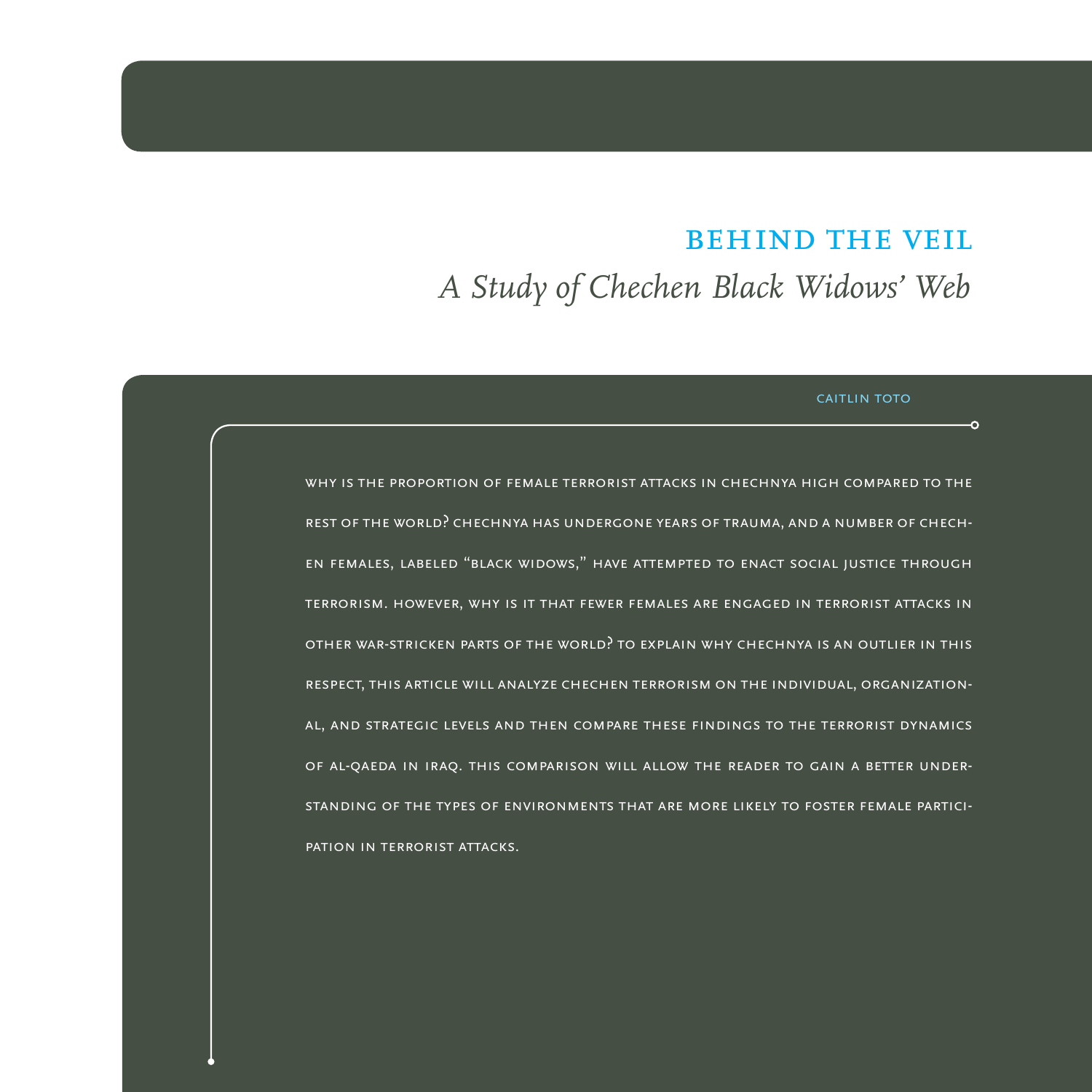# Behind the Veil *A Study of Chechen Black Widows' Web*

### **CAITLIN TOTO**

 $\Omega$ 

Why is the proportion of female terrorist attacks in Chechnya high compared to the rest of the world? Chechnya has undergone years of trauma, and a number of Chechen females, labeled "black widows," have attempted to enact social justice through terrorism. however, why is it that fewer females are engaged in terrorist attacks in other war-stricken parts of the world? To explain why Chechnya is an outlier in this respect, this article will analyze Chechen terrorism on the individual, organizational, and strategic levels and then compare these findings to the terrorist dynamics of Al-Qaeda in Iraq. This comparison will allow the reader to gain a better understanding of the types of environments that are more likely to foster female participation in terrorist attacks.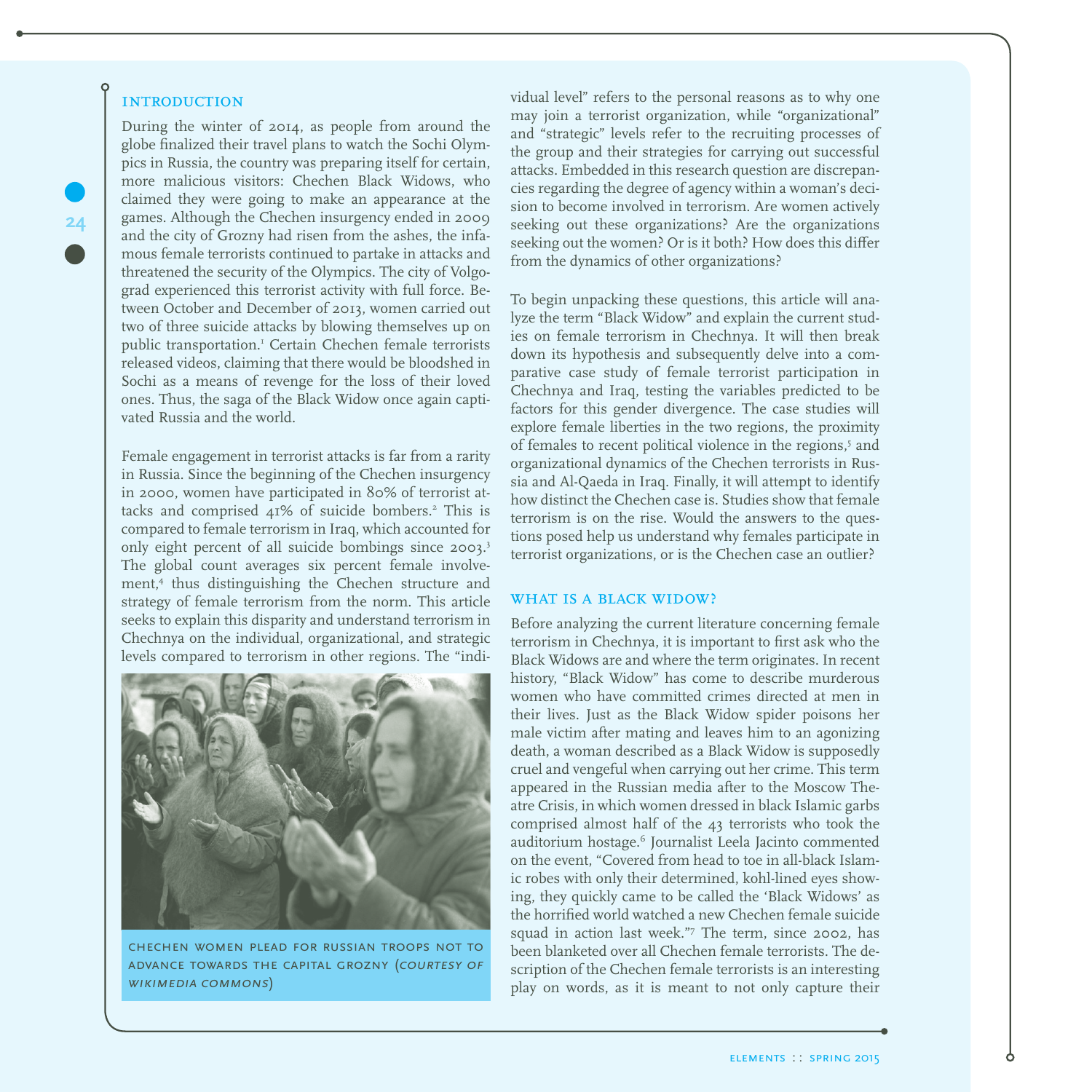## **INTRODUCTION**

During the winter of 2014, as people from around the globe finalized their travel plans to watch the Sochi Olympics in Russia, the country was preparing itself for certain, more malicious visitors: Chechen Black Widows, who claimed they were going to make an appearance at the games. Although the Chechen insurgency ended in 2009 and the city of Grozny had risen from the ashes, the infamous female terrorists continued to partake in attacks and threatened the security of the Olympics. The city of Volgograd experienced this terrorist activity with full force. Between October and December of 2013, women carried out two of three suicide attacks by blowing themselves up on public transportation.<sup>1</sup> Certain Chechen female terrorists released videos, claiming that there would be bloodshed in Sochi as a means of revenge for the loss of their loved ones. Thus, the saga of the Black Widow once again captivated Russia and the world.

Female engagement in terrorist attacks is far from a rarity in Russia. Since the beginning of the Chechen insurgency in 2000, women have participated in 80% of terrorist attacks and comprised  $41\%$  of suicide bombers.<sup>2</sup> This is compared to female terrorism in Iraq, which accounted for only eight percent of all suicide bombings since 2003.<sup>3</sup> The global count averages six percent female involvement,4 thus distinguishing the Chechen structure and strategy of female terrorism from the norm. This article seeks to explain this disparity and understand terrorism in Chechnya on the individual, organizational, and strategic levels compared to terrorism in other regions. The "indi-



Chechen women plead for Russian troops not to advance towards the capital Grozny (*Courtesy of wikimedia Commons*)

vidual level" refers to the personal reasons as to why one may join a terrorist organization, while "organizational" and "strategic" levels refer to the recruiting processes of the group and their strategies for carrying out successful attacks. Embedded in this research question are discrepancies regarding the degree of agency within a woman's decision to become involved in terrorism. Are women actively seeking out these organizations? Are the organizations seeking out the women? Or is it both? How does this differ from the dynamics of other organizations?

To begin unpacking these questions, this article will analyze the term "Black Widow" and explain the current studies on female terrorism in Chechnya. It will then break down its hypothesis and subsequently delve into a comparative case study of female terrorist participation in Chechnya and Iraq, testing the variables predicted to be factors for this gender divergence. The case studies will explore female liberties in the two regions, the proximity of females to recent political violence in the regions,<sup>5</sup> and organizational dynamics of the Chechen terrorists in Russia and Al-Qaeda in Iraq. Finally, it will attempt to identify how distinct the Chechen case is. Studies show that female terrorism is on the rise. Would the answers to the questions posed help us understand why females participate in terrorist organizations, or is the Chechen case an outlier?

## WHAT IS A BLACK WIDOW?

Before analyzing the current literature concerning female terrorism in Chechnya, it is important to first ask who the Black Widows are and where the term originates. In recent history, "Black Widow" has come to describe murderous women who have committed crimes directed at men in their lives. Just as the Black Widow spider poisons her male victim after mating and leaves him to an agonizing death, a woman described as a Black Widow is supposedly cruel and vengeful when carrying out her crime. This term appeared in the Russian media after to the Moscow Theatre Crisis, in which women dressed in black Islamic garbs comprised almost half of the 43 terrorists who took the auditorium hostage.6 Journalist Leela Jacinto commented on the event, "Covered from head to toe in all-black Islamic robes with only their determined, kohl-lined eyes showing, they quickly came to be called the 'Black Widows' as the horrified world watched a new Chechen female suicide squad in action last week."7 The term, since 2002, has been blanketed over all Chechen female terrorists. The description of the Chechen female terrorists is an interesting play on words, as it is meant to not only capture their

**24**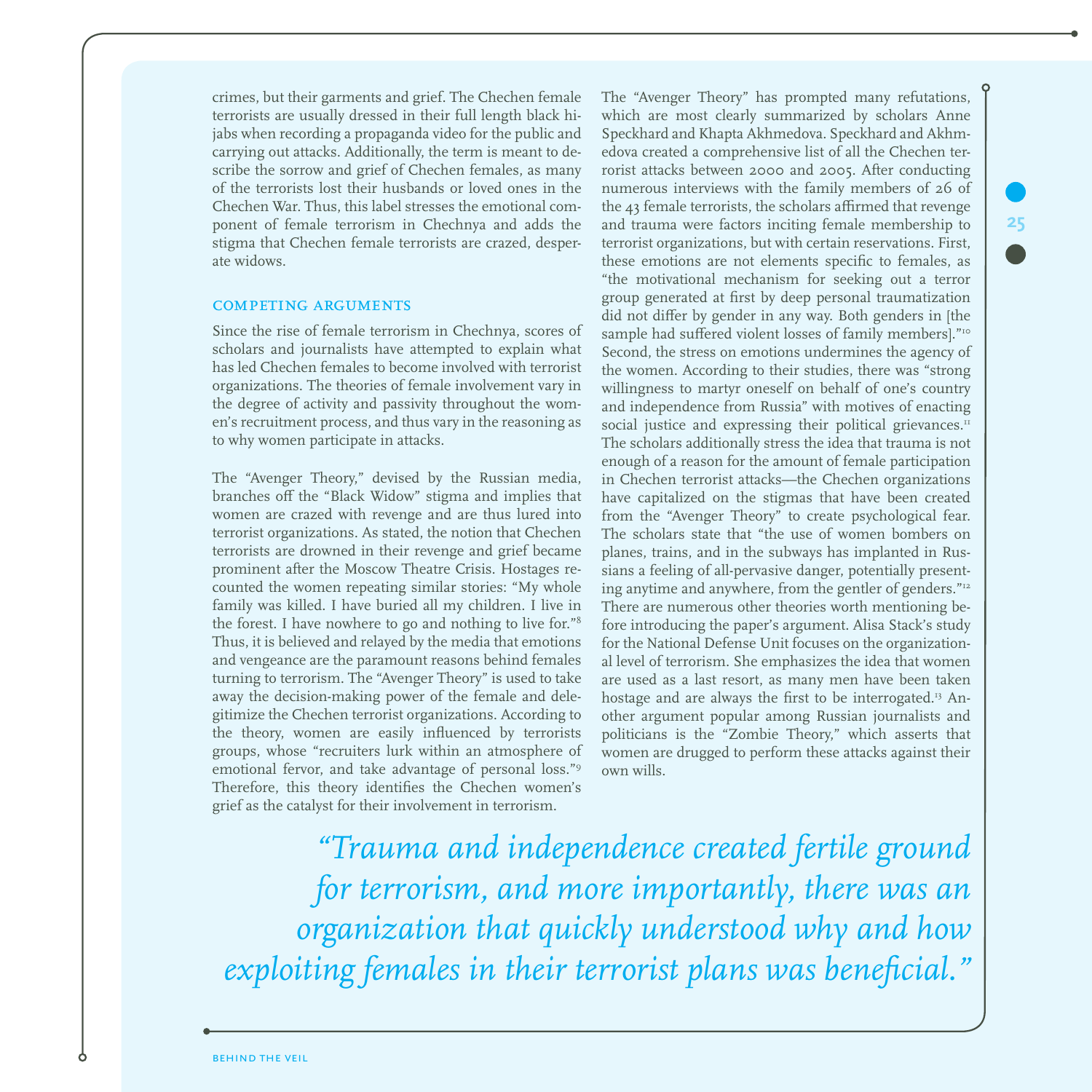crimes, but their garments and grief. The Chechen female terrorists are usually dressed in their full length black hijabs when recording a propaganda video for the public and carrying out attacks. Additionally, the term is meant to describe the sorrow and grief of Chechen females, as many of the terrorists lost their husbands or loved ones in the Chechen War. Thus, this label stresses the emotional component of female terrorism in Chechnya and adds the stigma that Chechen female terrorists are crazed, desperate widows.

#### COMPETING ARGUMENTS

Since the rise of female terrorism in Chechnya, scores of scholars and journalists have attempted to explain what has led Chechen females to become involved with terrorist organizations. The theories of female involvement vary in the degree of activity and passivity throughout the women's recruitment process, and thus vary in the reasoning as to why women participate in attacks.

The "Avenger Theory," devised by the Russian media, branches off the "Black Widow" stigma and implies that women are crazed with revenge and are thus lured into terrorist organizations. As stated, the notion that Chechen terrorists are drowned in their revenge and grief became prominent after the Moscow Theatre Crisis. Hostages recounted the women repeating similar stories: "My whole family was killed. I have buried all my children. I live in the forest. I have nowhere to go and nothing to live for."8 Thus, it is believed and relayed by the media that emotions and vengeance are the paramount reasons behind females turning to terrorism. The "Avenger Theory" is used to take away the decision-making power of the female and delegitimize the Chechen terrorist organizations. According to the theory, women are easily influenced by terrorists groups, whose "recruiters lurk within an atmosphere of emotional fervor, and take advantage of personal loss."9 Therefore, this theory identifies the Chechen women's grief as the catalyst for their involvement in terrorism.

The "Avenger Theory" has prompted many refutations, which are most clearly summarized by scholars Anne Speckhard and Khapta Akhmedova. Speckhard and Akhmedova created a comprehensive list of all the Chechen terrorist attacks between 2000 and 2005. After conducting numerous interviews with the family members of 26 of the 43 female terrorists, the scholars affirmed that revenge and trauma were factors inciting female membership to terrorist organizations, but with certain reservations. First, these emotions are not elements specific to females, as "the motivational mechanism for seeking out a terror group generated at first by deep personal traumatization did not differ by gender in any way. Both genders in [the sample had suffered violent losses of family members]."<sup>10</sup> Second, the stress on emotions undermines the agency of the women. According to their studies, there was "strong willingness to martyr oneself on behalf of one's country and independence from Russia" with motives of enacting social justice and expressing their political grievances.<sup>11</sup> The scholars additionally stress the idea that trauma is not enough of a reason for the amount of female participation in Chechen terrorist attacks—the Chechen organizations have capitalized on the stigmas that have been created from the "Avenger Theory" to create psychological fear. The scholars state that "the use of women bombers on planes, trains, and in the subways has implanted in Russians a feeling of all-pervasive danger, potentially presenting anytime and anywhere, from the gentler of genders."12 There are numerous other theories worth mentioning before introducing the paper's argument. Alisa Stack's study for the National Defense Unit focuses on the organizational level of terrorism. She emphasizes the idea that women are used as a last resort, as many men have been taken hostage and are always the first to be interrogated.<sup>13</sup> Another argument popular among Russian journalists and politicians is the "Zombie Theory," which asserts that women are drugged to perform these attacks against their own wills.

**25**

*"Trauma and independence created fertile ground for terrorism, and more importantly, there was an organization that quickly understood why and how exploiting females in their terrorist plans was beneficial."*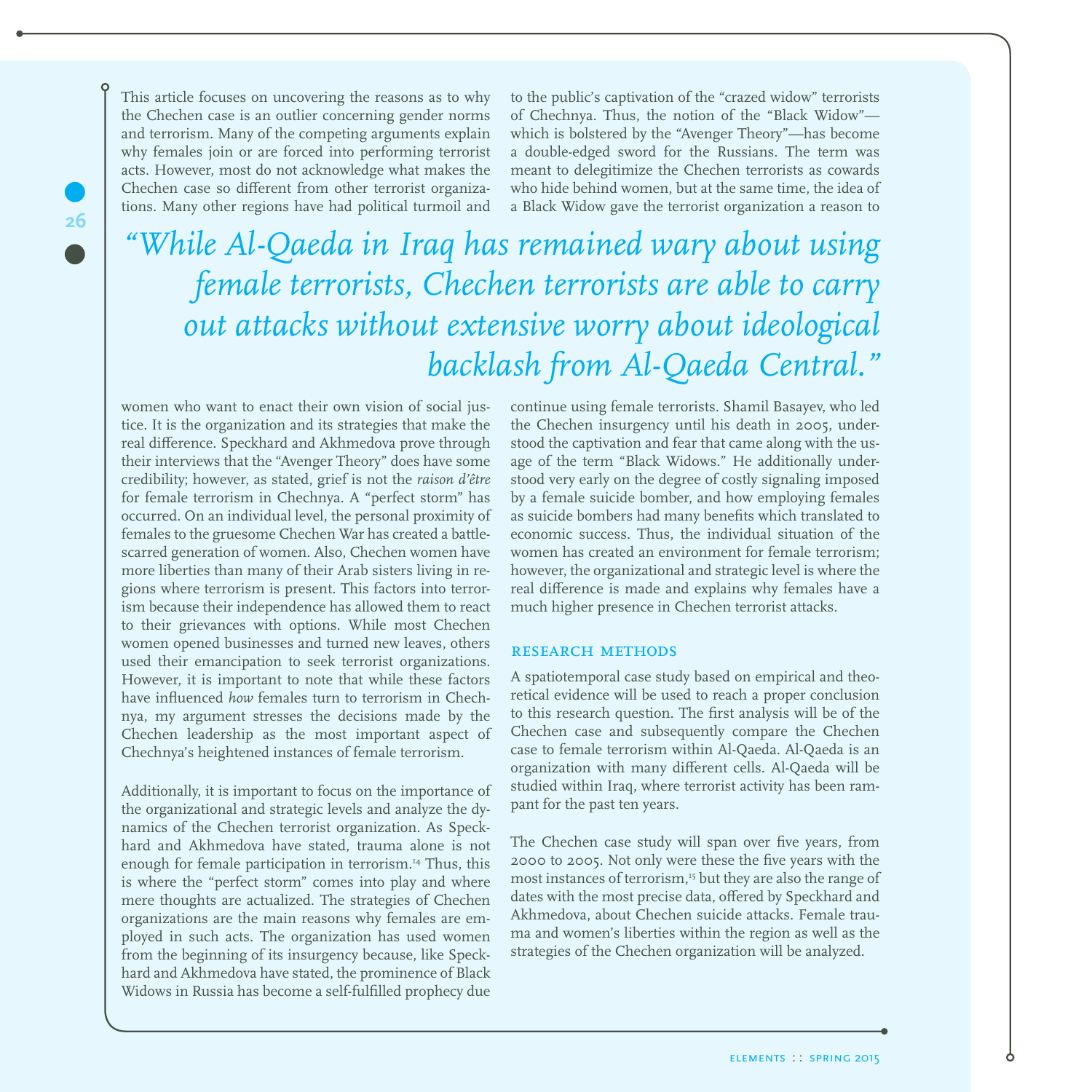**26**

This article focuses on uncovering the reasons as to why the Chechen case is an outlier concerning gender norms and terrorism. Many of the competing arguments explain why females join or are forced into performing terrorist acts. However, most do not acknowledge what makes the Chechen case so different from other terrorist organizations. Many other regions have had political turmoil and

to the public's captivation of the "crazed widow" terrorists of Chechnya. Thus, the notion of the "Black Widow" which is bolstered by the "Avenger Theory"—has become a double-edged sword for the Russians. The term was meant to delegitimize the Chechen terrorists as cowards who hide behind women, but at the same time, the idea of a Black Widow gave the terrorist organization a reason to

*"While Al-Qaeda in Iraq has remained wary about using female terrorists, Chechen terrorists are able to carry out attacks without extensive worry about ideological backlash from Al-Qaeda Central."*

women who want to enact their own vision of social justice. It is the organization and its strategies that make the real difference. Speckhard and Akhmedova prove through their interviews that the "Avenger Theory" does have some credibility; however, as stated, grief is not the *raison d'être* for female terrorism in Chechnya. A "perfect storm" has occurred. On an individual level, the personal proximity of females to the gruesome Chechen War has created a battlescarred generation of women. Also, Chechen women have more liberties than many of their Arab sisters living in regions where terrorism is present. This factors into terrorism because their independence has allowed them to react to their grievances with options. While most Chechen women opened businesses and turned new leaves, others used their emancipation to seek terrorist organizations. However, it is important to note that while these factors have influenced *how* females turn to terrorism in Chechnya, my argument stresses the decisions made by the Chechen leadership as the most important aspect of Chechnya's heightened instances of female terrorism.

Additionally, it is important to focus on the importance of the organizational and strategic levels and analyze the dynamics of the Chechen terrorist organization. As Speckhard and Akhmedova have stated, trauma alone is not enough for female participation in terrorism.14 Thus, this is where the "perfect storm" comes into play and where mere thoughts are actualized. The strategies of Chechen organizations are the main reasons why females are employed in such acts. The organization has used women from the beginning of its insurgency because, like Speckhard and Akhmedova have stated, the prominence of Black Widows in Russia has become a self-fulfilled prophecy due

continue using female terrorists. Shamil Basayev, who led the Chechen insurgency until his death in 2005, understood the captivation and fear that came along with the usage of the term "Black Widows." He additionally understood very early on the degree of costly signaling imposed by a female suicide bomber, and how employing females as suicide bombers had many benefits which translated to economic success. Thus, the individual situation of the women has created an environment for female terrorism; however, the organizational and strategic level is where the real difference is made and explains why females have a much higher presence in Chechen terrorist attacks.

## RESEARCH METHODS

A spatiotemporal case study based on empirical and theoretical evidence will be used to reach a proper conclusion to this research question. The first analysis will be of the Chechen case and subsequently compare the Chechen case to female terrorism within Al-Qaeda. Al-Qaeda is an organization with many different cells. Al-Qaeda will be studied within Iraq, where terrorist activity has been rampant for the past ten years.

The Chechen case study will span over five years, from 2000 to 2005. Not only were these the five years with the most instances of terrorism,<sup>15</sup> but they are also the range of dates with the most precise data, offered by Speckhard and Akhmedova, about Chechen suicide attacks. Female trauma and women's liberties within the region as well as the strategies of the Chechen organization will be analyzed.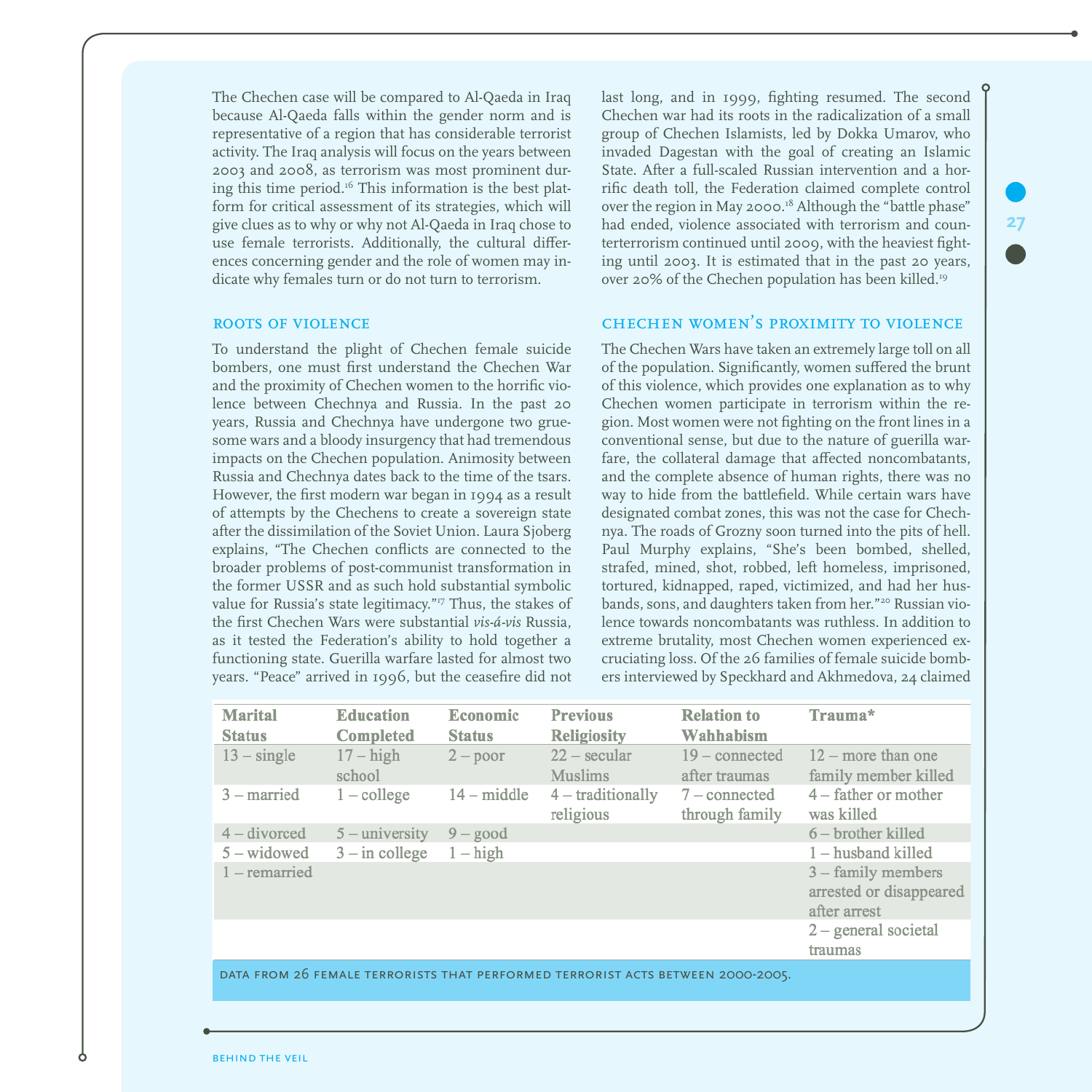The Chechen case will be compared to Al-Qaeda in Iraq because Al-Qaeda falls within the gender norm and is representative of a region that has considerable terrorist activity. The Iraq analysis will focus on the years between 2003 and 2008, as terrorism was most prominent during this time period.<sup>16</sup> This information is the best platform for critical assessment of its strategies, which will give clues as to why or why not Al-Qaeda in Iraq chose to use female terrorists. Additionally, the cultural differences concerning gender and the role of women may indicate why females turn or do not turn to terrorism.

#### Roots of Violence

To understand the plight of Chechen female suicide bombers, one must first understand the Chechen War and the proximity of Chechen women to the horrific violence between Chechnya and Russia. In the past 20 years, Russia and Chechnya have undergone two gruesome wars and a bloody insurgency that had tremendous impacts on the Chechen population. Animosity between Russia and Chechnya dates back to the time of the tsars. However, the first modern war began in 1994 as a result of attempts by the Chechens to create a sovereign state after the dissimilation of the Soviet Union. Laura Sjoberg explains, "The Chechen conflicts are connected to the broader problems of post-communist transformation in the former USSR and as such hold substantial symbolic value for Russia's state legitimacy." $\nu$ 7 Thus, the stakes of the first Chechen Wars were substantial *vis-á-vis* Russia, as it tested the Federation's ability to hold together a functioning state. Guerilla warfare lasted for almost two years. "Peace" arrived in 1996, but the ceasefire did not

last long, and in 1999, fighting resumed. The second Chechen war had its roots in the radicalization of a small group of Chechen Islamists, led by Dokka Umarov, who invaded Dagestan with the goal of creating an Islamic State. After a full-scaled Russian intervention and a horrific death toll, the Federation claimed complete control over the region in May 2000.18 Although the "battle phase" had ended, violence associated with terrorism and counterterrorism continued until 2009, with the heaviest fighting until 2003. It is estimated that in the past 20 years, over 20% of the Chechen population has been killed.19

**27**

## Chechen Women's Proximity to Violence

The Chechen Wars have taken an extremely large toll on all of the population. Significantly, women suffered the brunt of this violence, which provides one explanation as to why Chechen women participate in terrorism within the region. Most women were not fighting on the front lines in a conventional sense, but due to the nature of guerilla warfare, the collateral damage that affected noncombatants, and the complete absence of human rights, there was no way to hide from the battlefield. While certain wars have designated combat zones, this was not the case for Chechnya. The roads of Grozny soon turned into the pits of hell. Paul Murphy explains, "She's been bombed, shelled, strafed, mined, shot, robbed, left homeless, imprisoned, tortured, kidnapped, raped, victimized, and had her husbands, sons, and daughters taken from her."20 Russian violence towards noncombatants was ruthless. In addition to extreme brutality, most Chechen women experienced excruciating loss. Of the 26 families of female suicide bombers interviewed by Speckhard and Akhmedova, 24 claimed

| <b>Marital</b><br><b>Status</b>                                                 | <b>Education</b><br>Completed | Economic<br><b>Status</b> | <b>Previous</b><br><b>Religiosity</b> | <b>Relation to</b><br>Wahhabism   | Trauma*                                                         |
|---------------------------------------------------------------------------------|-------------------------------|---------------------------|---------------------------------------|-----------------------------------|-----------------------------------------------------------------|
| $13$ – single                                                                   | $17 - high$<br>school         | $2 - poor$                | $22$ – secular<br><b>Muslims</b>      | $19$ – connected<br>after traumas | $12 -$ more than one<br>family member killed                    |
| $3$ – married                                                                   | $1$ – college                 | $14$ – middle             | $4$ – traditionally<br>religious      | $7$ – connected<br>through family | $4$ – father or mother<br>was killed                            |
| $4$ – divorced                                                                  | $5 -$ university              | $9 - good$                |                                       |                                   | $6$ – brother killed                                            |
| $5 -$ widowed                                                                   | $3 - in college$              | $1 - high$                |                                       |                                   | $1 -$ husband killed                                            |
| $1$ – remarried                                                                 |                               |                           |                                       |                                   | $3 - family$ members<br>arrested or disappeared<br>after arrest |
|                                                                                 |                               |                           |                                       |                                   | $2$ – general societal<br>traumas                               |
| DATA FROM 26 FEMALE TERRORISTS THAT PERFORMED TERRORIST ACTS BETWEEN 2000-2005. |                               |                           |                                       |                                   |                                                                 |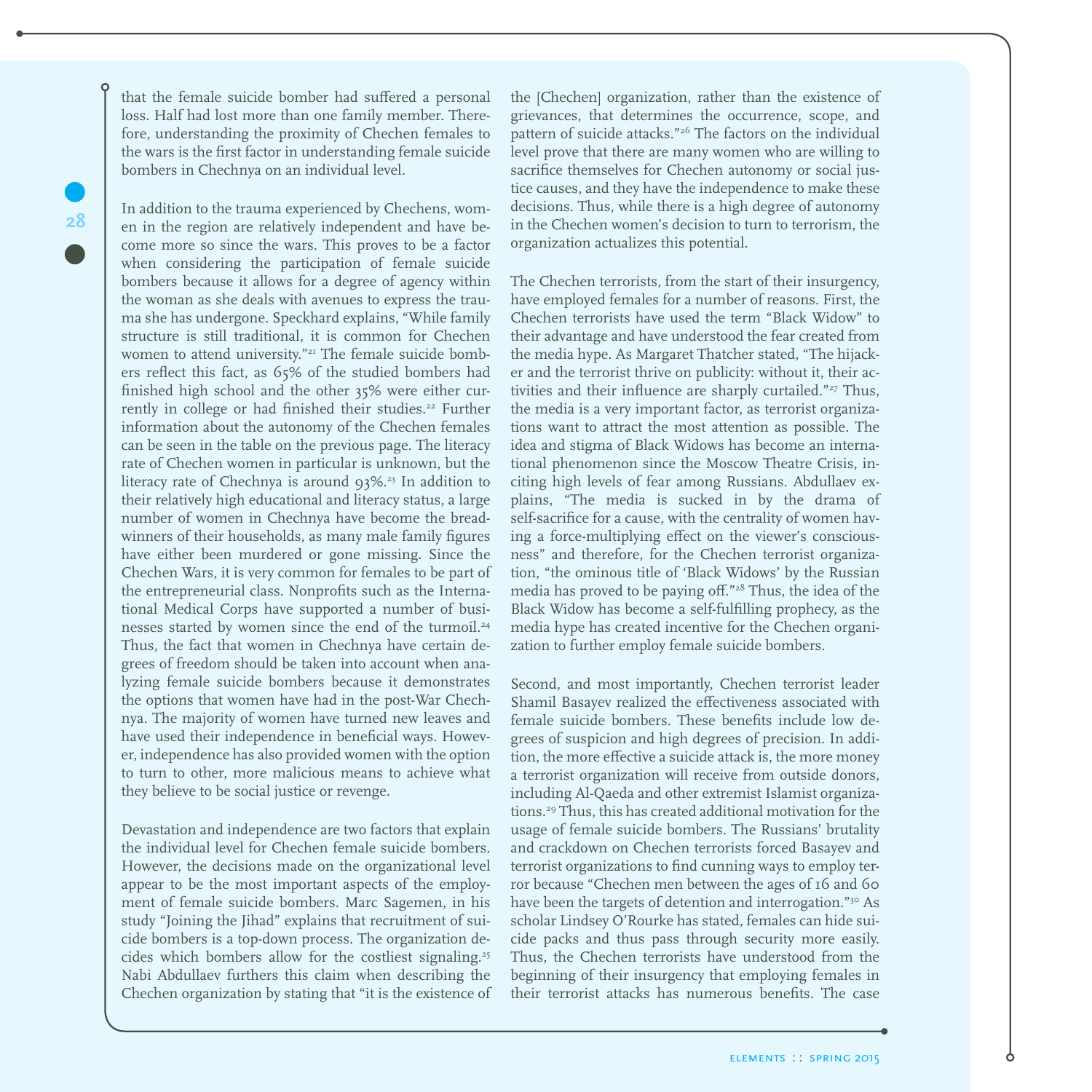that the female suicide bomber had suffered a personal loss. Half had lost more than one family member. Therefore, understanding the proximity of Chechen females to the wars is the first factor in understanding female suicide bombers in Chechnya on an individual level.

In addition to the trauma experienced by Chechens, women in the region are relatively independent and have become more so since the wars. This proves to be a factor when considering the participation of female suicide bombers because it allows for a degree of agency within the woman as she deals with avenues to express the trauma she has undergone. Speckhard explains, "While family structure is still traditional, it is common for Chechen women to attend university."21 The female suicide bombers reflect this fact, as 65% of the studied bombers had finished high school and the other 35% were either currently in college or had finished their studies.<sup>22</sup> Further information about the autonomy of the Chechen females can be seen in the table on the previous page. The literacy rate of Chechen women in particular is unknown, but the literacy rate of Chechnya is around  $93\%$ <sup>23</sup> In addition to their relatively high educational and literacy status, a large number of women in Chechnya have become the breadwinners of their households, as many male family figures have either been murdered or gone missing. Since the Chechen Wars, it is very common for females to be part of the entrepreneurial class. Nonprofits such as the International Medical Corps have supported a number of businesses started by women since the end of the turmoil.<sup>24</sup> Thus, the fact that women in Chechnya have certain degrees of freedom should be taken into account when analyzing female suicide bombers because it demonstrates the options that women have had in the post-War Chechnya. The majority of women have turned new leaves and have used their independence in beneficial ways. However, independence has also provided women with the option to turn to other, more malicious means to achieve what they believe to be social justice or revenge.

Devastation and independence are two factors that explain the individual level for Chechen female suicide bombers. However, the decisions made on the organizational level appear to be the most important aspects of the employment of female suicide bombers. Marc Sagemen, in his study "Joining the Jihad" explains that recruitment of suicide bombers is a top-down process. The organization decides which bombers allow for the costliest signaling.25 Nabi Abdullaev furthers this claim when describing the Chechen organization by stating that "it is the existence of the [Chechen] organization, rather than the existence of grievances, that determines the occurrence, scope, and pattern of suicide attacks."<sup>26</sup> The factors on the individual level prove that there are many women who are willing to sacrifice themselves for Chechen autonomy or social justice causes, and they have the independence to make these decisions. Thus, while there is a high degree of autonomy in the Chechen women's decision to turn to terrorism, the organization actualizes this potential.

The Chechen terrorists, from the start of their insurgency, have employed females for a number of reasons. First, the Chechen terrorists have used the term "Black Widow" to their advantage and have understood the fear created from the media hype. As Margaret Thatcher stated, "The hijacker and the terrorist thrive on publicity: without it, their activities and their influence are sharply curtailed."<sup>27</sup> Thus, the media is a very important factor, as terrorist organizations want to attract the most attention as possible. The idea and stigma of Black Widows has become an international phenomenon since the Moscow Theatre Crisis, inciting high levels of fear among Russians. Abdullaev explains, "The media is sucked in by the drama of self-sacrifice for a cause, with the centrality of women having a force-multiplying effect on the viewer's consciousness" and therefore, for the Chechen terrorist organization, "the ominous title of 'Black Widows' by the Russian media has proved to be paying off."28 Thus, the idea of the Black Widow has become a self-fulfilling prophecy, as the media hype has created incentive for the Chechen organization to further employ female suicide bombers.

Second, and most importantly, Chechen terrorist leader Shamil Basayev realized the effectiveness associated with female suicide bombers. These benefits include low degrees of suspicion and high degrees of precision. In addition, the more effective a suicide attack is, the more money a terrorist organization will receive from outside donors, including Al-Qaeda and other extremist Islamist organizations.<sup>29</sup> Thus, this has created additional motivation for the usage of female suicide bombers. The Russians' brutality and crackdown on Chechen terrorists forced Basayev and terrorist organizations to find cunning ways to employ terror because "Chechen men between the ages of 16 and 60 have been the targets of detention and interrogation."<sup>30</sup> As scholar Lindsey O'Rourke has stated, females can hide suicide packs and thus pass through security more easily. Thus, the Chechen terrorists have understood from the beginning of their insurgency that employing females in their terrorist attacks has numerous benefits. The case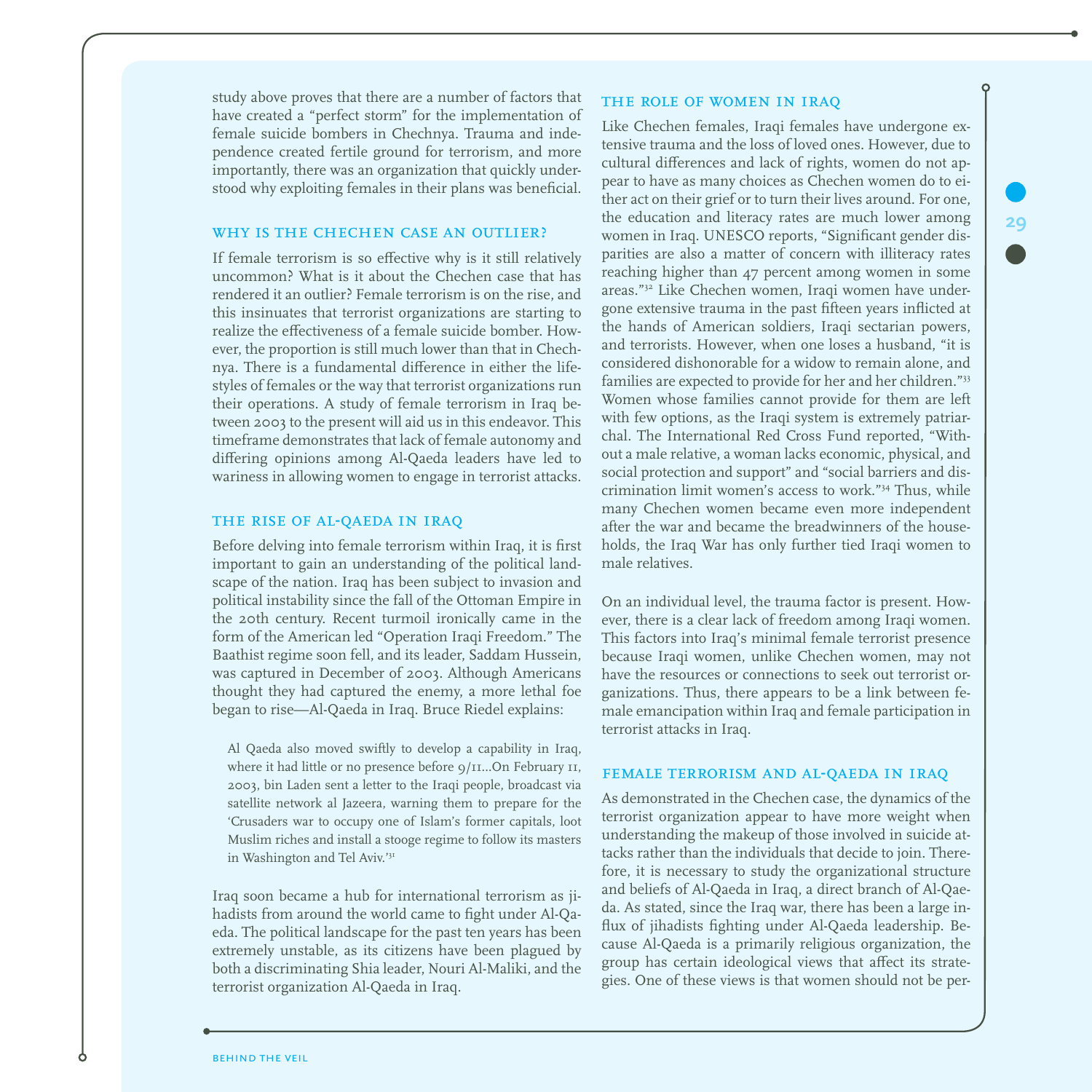study above proves that there are a number of factors that have created a "perfect storm" for the implementation of female suicide bombers in Chechnya. Trauma and independence created fertile ground for terrorism, and more importantly, there was an organization that quickly understood why exploiting females in their plans was beneficial.

## WHY IS THE CHECHEN CASE AN OUTLIER?

If female terrorism is so effective why is it still relatively uncommon? What is it about the Chechen case that has rendered it an outlier? Female terrorism is on the rise, and this insinuates that terrorist organizations are starting to realize the effectiveness of a female suicide bomber. However, the proportion is still much lower than that in Chechnya. There is a fundamental difference in either the lifestyles of females or the way that terrorist organizations run their operations. A study of female terrorism in Iraq between 2003 to the present will aid us in this endeavor. This timeframe demonstrates that lack of female autonomy and differing opinions among Al-Qaeda leaders have led to wariness in allowing women to engage in terrorist attacks.

## The Rise of Al-Qaeda in Iraq

Before delving into female terrorism within Iraq, it is first important to gain an understanding of the political landscape of the nation. Iraq has been subject to invasion and political instability since the fall of the Ottoman Empire in the 20th century. Recent turmoil ironically came in the form of the American led "Operation Iraqi Freedom." The Baathist regime soon fell, and its leader, Saddam Hussein, was captured in December of 2003. Although Americans thought they had captured the enemy, a more lethal foe began to rise—Al-Qaeda in Iraq. Bruce Riedel explains:

Al Qaeda also moved swiftly to develop a capability in Iraq, where it had little or no presence before  $9/11$ ...On February 11, 2003, bin Laden sent a letter to the Iraqi people, broadcast via satellite network al Jazeera, warning them to prepare for the 'Crusaders war to occupy one of Islam's former capitals, loot Muslim riches and install a stooge regime to follow its masters in Washington and Tel Aviv.'31

Iraq soon became a hub for international terrorism as jihadists from around the world came to fight under Al-Qaeda. The political landscape for the past ten years has been extremely unstable, as its citizens have been plagued by both a discriminating Shia leader, Nouri Al-Maliki, and the terrorist organization Al-Qaeda in Iraq.

## The Role of Women in Iraq

Like Chechen females, Iraqi females have undergone extensive trauma and the loss of loved ones. However, due to cultural differences and lack of rights, women do not appear to have as many choices as Chechen women do to either act on their grief or to turn their lives around. For one, the education and literacy rates are much lower among women in Iraq. UNESCO reports, "Significant gender disparities are also a matter of concern with illiteracy rates reaching higher than 47 percent among women in some areas."32 Like Chechen women, Iraqi women have undergone extensive trauma in the past fifteen years inflicted at the hands of American soldiers, Iraqi sectarian powers, and terrorists. However, when one loses a husband, "it is considered dishonorable for a widow to remain alone, and families are expected to provide for her and her children."33 Women whose families cannot provide for them are left with few options, as the Iraqi system is extremely patriarchal. The International Red Cross Fund reported, "Without a male relative, a woman lacks economic, physical, and social protection and support" and "social barriers and discrimination limit women's access to work."34 Thus, while many Chechen women became even more independent after the war and became the breadwinners of the households, the Iraq War has only further tied Iraqi women to male relatives.

On an individual level, the trauma factor is present. However, there is a clear lack of freedom among Iraqi women. This factors into Iraq's minimal female terrorist presence because Iraqi women, unlike Chechen women, may not have the resources or connections to seek out terrorist organizations. Thus, there appears to be a link between female emancipation within Iraq and female participation in terrorist attacks in Iraq.

#### Female Terrorism and Al-Qaeda in Iraq

As demonstrated in the Chechen case, the dynamics of the terrorist organization appear to have more weight when understanding the makeup of those involved in suicide attacks rather than the individuals that decide to join. Therefore, it is necessary to study the organizational structure and beliefs of Al-Qaeda in Iraq, a direct branch of Al-Qaeda. As stated, since the Iraq war, there has been a large influx of jihadists fighting under Al-Qaeda leadership. Because Al-Qaeda is a primarily religious organization, the group has certain ideological views that affect its strategies. One of these views is that women should not be per-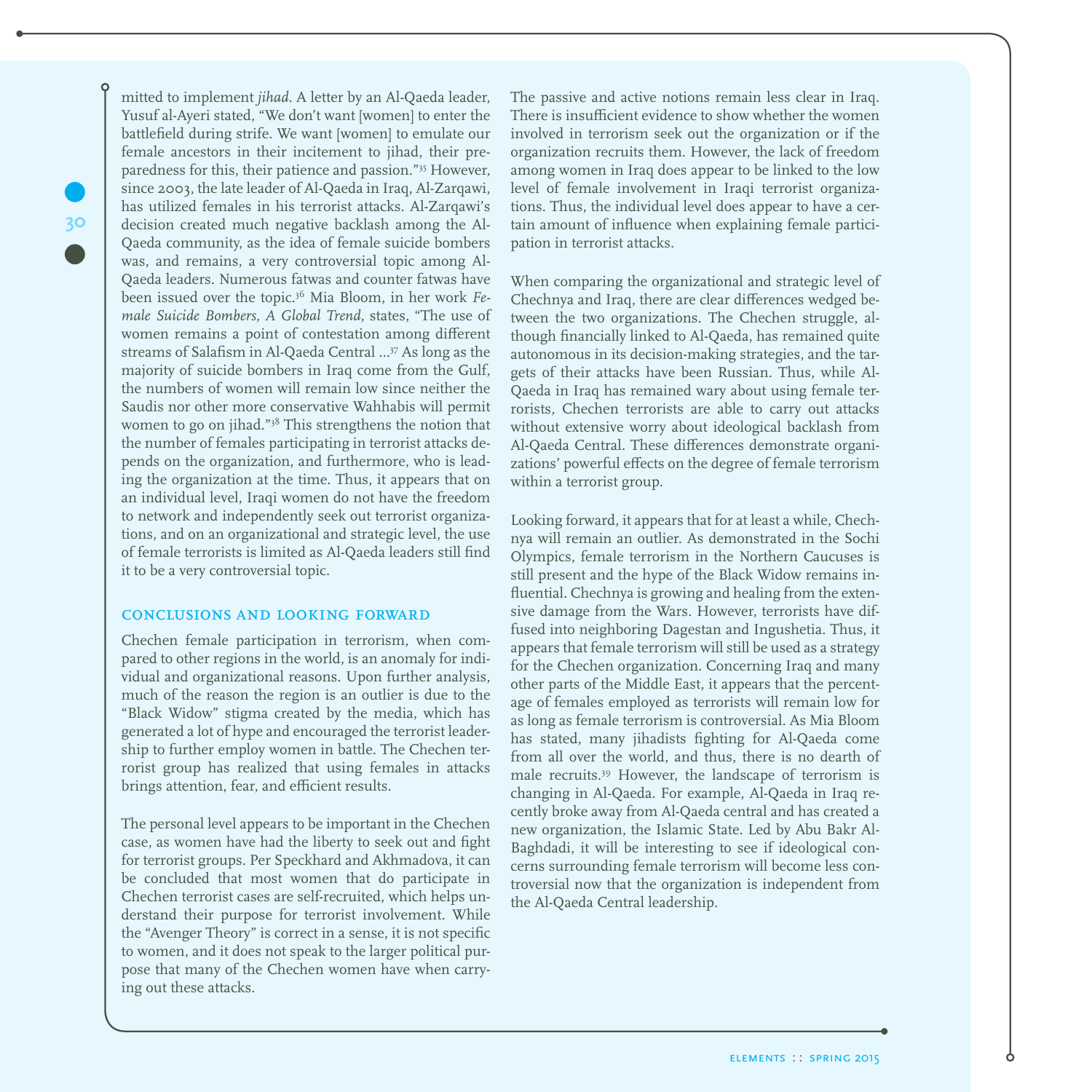mitted to implement *jihad*. A letter by an Al-Qaeda leader, Yusuf al-Ayeri stated, "We don't want [women] to enter the battlefield during strife. We want [women] to emulate our female ancestors in their incitement to jihad, their preparedness for this, their patience and passion."35 However, since 2003, the late leader of Al-Qaeda in Iraq, Al-Zarqawi, has utilized females in his terrorist attacks. Al-Zarqawi's decision created much negative backlash among the Al-Qaeda community, as the idea of female suicide bombers was, and remains, a very controversial topic among Al-Qaeda leaders. Numerous fatwas and counter fatwas have been issued over the topic.36 Mia Bloom, in her work *Female Suicide Bombers, A Global Trend*, states, "The use of women remains a point of contestation among different streams of Salafism in Al-Qaeda Central …37 As long as the majority of suicide bombers in Iraq come from the Gulf, the numbers of women will remain low since neither the Saudis nor other more conservative Wahhabis will permit women to go on jihad."38 This strengthens the notion that the number of females participating in terrorist attacks depends on the organization, and furthermore, who is leading the organization at the time. Thus, it appears that on an individual level, Iraqi women do not have the freedom to network and independently seek out terrorist organizations, and on an organizational and strategic level, the use of female terrorists is limited as Al-Qaeda leaders still find it to be a very controversial topic.

#### Conclusions and Looking Forward

Chechen female participation in terrorism, when compared to other regions in the world, is an anomaly for individual and organizational reasons. Upon further analysis, much of the reason the region is an outlier is due to the "Black Widow" stigma created by the media, which has generated a lot of hype and encouraged the terrorist leadership to further employ women in battle. The Chechen terrorist group has realized that using females in attacks brings attention, fear, and efficient results.

The personal level appears to be important in the Chechen case, as women have had the liberty to seek out and fight for terrorist groups. Per Speckhard and Akhmadova, it can be concluded that most women that do participate in Chechen terrorist cases are self-recruited, which helps understand their purpose for terrorist involvement. While the "Avenger Theory" is correct in a sense, it is not specific to women, and it does not speak to the larger political purpose that many of the Chechen women have when carrying out these attacks.

The passive and active notions remain less clear in Iraq. There is insufficient evidence to show whether the women involved in terrorism seek out the organization or if the organization recruits them. However, the lack of freedom among women in Iraq does appear to be linked to the low level of female involvement in Iraqi terrorist organizations. Thus, the individual level does appear to have a certain amount of influence when explaining female participation in terrorist attacks.

When comparing the organizational and strategic level of Chechnya and Iraq, there are clear differences wedged between the two organizations. The Chechen struggle, although financially linked to Al-Qaeda, has remained quite autonomous in its decision-making strategies, and the targets of their attacks have been Russian. Thus, while Al-Qaeda in Iraq has remained wary about using female terrorists, Chechen terrorists are able to carry out attacks without extensive worry about ideological backlash from Al-Qaeda Central. These differences demonstrate organizations' powerful effects on the degree of female terrorism within a terrorist group.

Looking forward, it appears that for at least a while, Chechnya will remain an outlier. As demonstrated in the Sochi Olympics, female terrorism in the Northern Caucuses is still present and the hype of the Black Widow remains influential. Chechnya is growing and healing from the extensive damage from the Wars. However, terrorists have diffused into neighboring Dagestan and Ingushetia. Thus, it appears that female terrorism will still be used as a strategy for the Chechen organization. Concerning Iraq and many other parts of the Middle East, it appears that the percentage of females employed as terrorists will remain low for as long as female terrorism is controversial. As Mia Bloom has stated, many jihadists fighting for Al-Qaeda come from all over the world, and thus, there is no dearth of male recruits.39 However, the landscape of terrorism is changing in Al-Qaeda. For example, Al-Qaeda in Iraq recently broke away from Al-Qaeda central and has created a new organization, the Islamic State. Led by Abu Bakr Al-Baghdadi, it will be interesting to see if ideological concerns surrounding female terrorism will become less controversial now that the organization is independent from the Al-Qaeda Central leadership.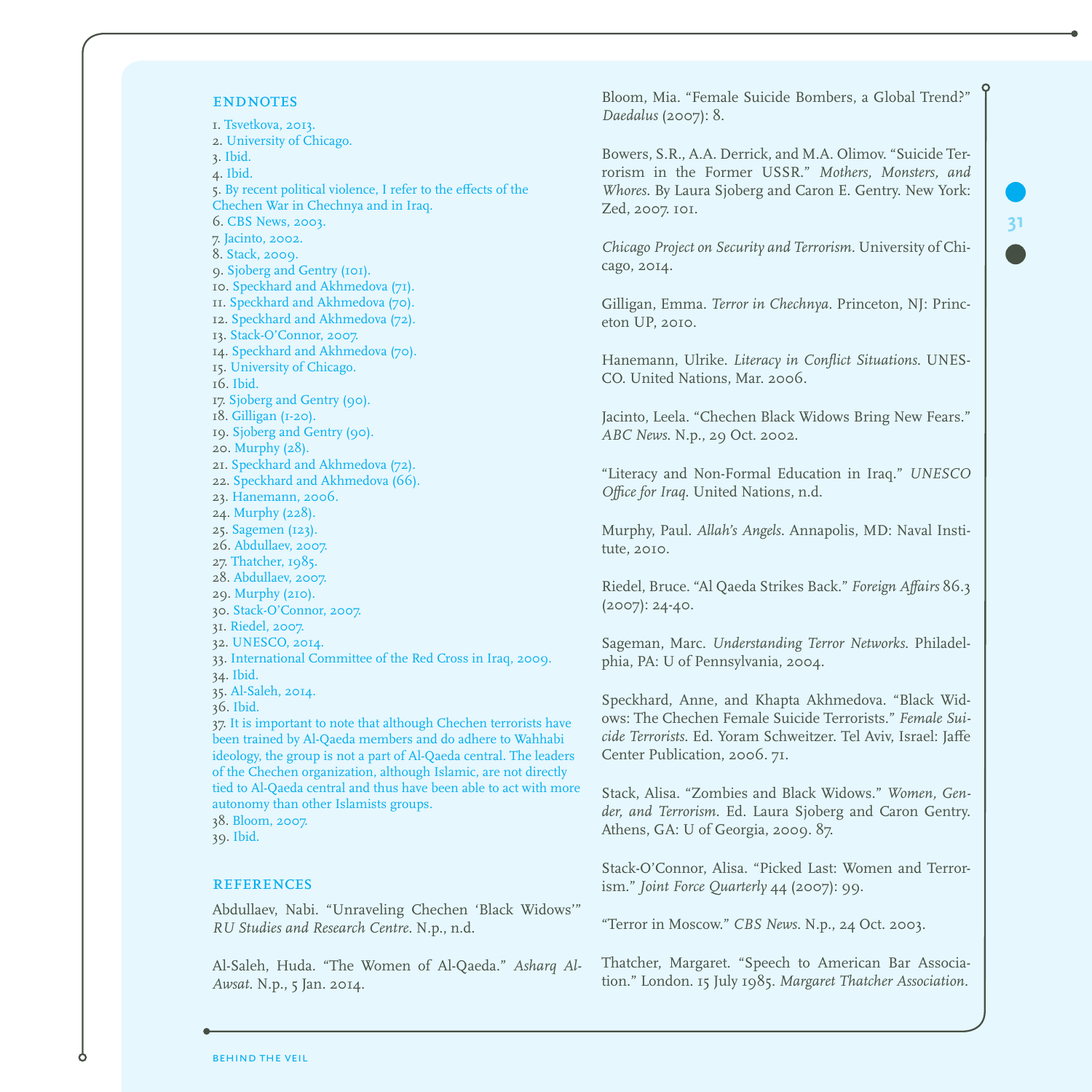#### **ENDNOTES**

1. Tsvetkova, 2013. 2. University of Chicago. 3. Ibid. 4. Ibid. 5. By recent political violence, I refer to the effects of the Chechen War in Chechnya and in Iraq. 6. CBS News, 2003. 7. Jacinto, 2002. 8. Stack, 2009. 9. Sjoberg and Gentry (101). 10. Speckhard and Akhmedova (71). 11. Speckhard and Akhmedova (70). 12. Speckhard and Akhmedova (72). 13. Stack-O'Connor, 2007. 14. Speckhard and Akhmedova (70). 15. University of Chicago. 16. Ibid. 17. Sjoberg and Gentry (90). 18. Gilligan (1-20). 19. Sjoberg and Gentry (90). 20. Murphy (28). 21. Speckhard and Akhmedova (72). 22. Speckhard and Akhmedova (66). 23. Hanemann, 2006. 24. Murphy (228). 25. Sagemen (123). 26. Abdullaev, 2007. 27. Thatcher, 1985. 28. Abdullaev, 2007. 29. Murphy (210). 30. Stack-O'Connor, 2007. 31. Riedel, 2007. 32. UNESCO, 2014. 33. International Committee of the Red Cross in Iraq, 2009. 34. Ibid. 35. Al-Saleh, 2014. 36. Ibid. 37. It is important to note that although Chechen terrorists have been trained by Al-Qaeda members and do adhere to Wahhabi ideology, the group is not a part of Al-Qaeda central. The leaders of the Chechen organization, although Islamic, are not directly tied to Al-Qaeda central and thus have been able to act with more autonomy than other Islamists groups. 38. Bloom, 2007. 39. Ibid.

## **REFERENCES**

Abdullaev, Nabi. "Unraveling Chechen 'Black Widows'" *RU Studies and Research Centre*. N.p., n.d.

Al-Saleh, Huda. "The Women of Al-Qaeda." *Asharq Al-Awsat*. N.p., 5 Jan. 2014.

Bloom, Mia. "Female Suicide Bombers, a Global Trend?" *Daedalus* (2007): 8.

Bowers, S.R., A.A. Derrick, and M.A. Olimov. "Suicide Terrorism in the Former USSR." *Mothers, Monsters, and Whores.* By Laura Sjoberg and Caron E. Gentry. New York: Zed, 2007. 101.

*Chicago Project on Security and Terrorism*. University of Chicago, 2014.

**31**

Gilligan, Emma. *Terror in Chechnya*. Princeton, NJ: Princeton UP, 2010.

Hanemann, Ulrike. *Literacy in Conflict Situations*. UNES-CO. United Nations, Mar. 2006.

Jacinto, Leela. "Chechen Black Widows Bring New Fears." *ABC News*. N.p., 29 Oct. 2002.

"Literacy and Non-Formal Education in Iraq." *UNESCO Office for Iraq*. United Nations, n.d.

Murphy, Paul. *Allah's Angels*. Annapolis, MD: Naval Institute, 2010.

Riedel, Bruce. "Al Qaeda Strikes Back." *Foreign Affairs* 86.3 (2007): 24-40.

Sageman, Marc. *Understanding Terror Networks*. Philadelphia, PA: U of Pennsylvania, 2004.

Speckhard, Anne, and Khapta Akhmedova. "Black Widows: The Chechen Female Suicide Terrorists." *Female Suicide Terrorists*. Ed. Yoram Schweitzer. Tel Aviv, Israel: Jaffe Center Publication, 2006. 71.

Stack, Alisa. "Zombies and Black Widows." *Women, Gender, and Terrorism*. Ed. Laura Sjoberg and Caron Gentry. Athens, GA: U of Georgia, 2009. 87.

Stack-O'Connor, Alisa. "Picked Last: Women and Terrorism." *Joint Force Quarterly* 44 (2007): 99.

"Terror in Moscow." *CBS News*. N.p., 24 Oct. 2003.

Thatcher, Margaret. "Speech to American Bar Association." London. 15 July 1985. *Margaret Thatcher Association.*